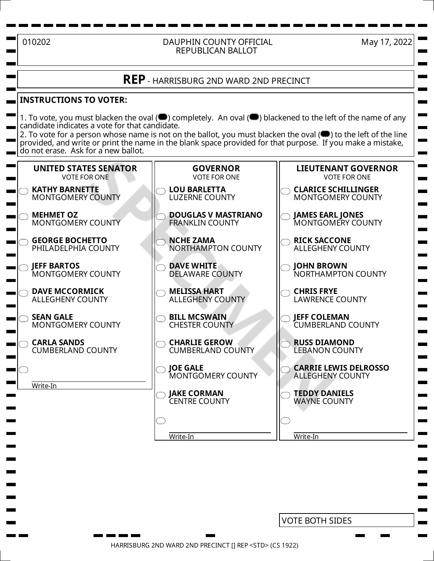## 010202 DAUPHIN COUNTY OFFICIAL REPUBLICAN BALLOT

May 17, 2022

## **REP**- HARRISBURG 2ND WARD 2ND PRECINCT

## **INSTRUCTIONS TO VOTER:**

1. To vote, you must blacken the oval ( $\blacksquare$ ) completely. An oval ( $\blacksquare$ ) blackened to the left of the name of any candidate indicates a vote for that candidate.

2. To vote for a person whose name is not on the ballot, you must blacken the oval  $(\bullet)$  to the left of the line provided, and write or print the name in the blank space provided for that purpose. If you make a mistake, do not erase. Ask for a new ballot.